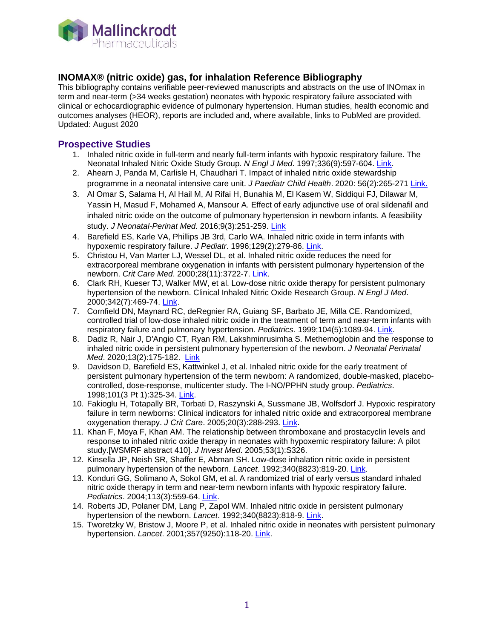

## **INOMAX® (nitric oxide) gas, for inhalation Reference Bibliography**

This bibliography contains verifiable peer-reviewed manuscripts and abstracts on the use of INOmax in term and near-term (>34 weeks gestation) neonates with hypoxic respiratory failure associated with clinical or echocardiographic evidence of pulmonary hypertension. Human studies, health economic and outcomes analyses (HEOR), reports are included and, where available, links to PubMed are provided. Updated: August 2020

#### **Prospective Studies**

- 1. Inhaled nitric oxide in full-term and nearly full-term infants with hypoxic respiratory failure. The Neonatal Inhaled Nitric Oxide Study Group. *N Engl J Med*. 1997;336(9):597-604. [Link.](http://www.ncbi.nlm.nih.gov/pubmed/9036320)
- 2. Ahearn J, Panda M, Carlisle H, Chaudhari T. Impact of inhaled nitric oxide stewardship programme in a neonatal intensive care unit. *J Paediatr Child Health*. 2020: 56(2):265-271 [Link.](https://www.ncbi.nlm.nih.gov/pubmed/?term=31368171)
- 3. Al Omar S, Salama H, Al Hail M, Al Rifai H, Bunahia M, El Kasem W, Siddiqui FJ, Dilawar M, Yassin H, Masud F, Mohamed A, Mansour A. Effect of early adjunctive use of oral sildenafil and inhaled nitric oxide on the outcome of pulmonary hypertension in newborn infants. A feasibility study. *J Neonatal-Perinat Med*. 2016;9(3):251-259. [Link](https://www.ncbi.nlm.nih.gov/pubmed/27589542)
- 4. Barefield ES, Karle VA, Phillips JB 3rd, Carlo WA. Inhaled nitric oxide in term infants with hypoxemic respiratory failure. *J Pediatr*. 1996;129(2):279-86. [Link.](http://www.ncbi.nlm.nih.gov/pubmed/8765628)
- 5. Christou H, Van Marter LJ, Wessel DL, et al. Inhaled nitric oxide reduces the need for extracorporeal membrane oxygenation in infants with persistent pulmonary hypertension of the newborn. *Crit Care Med*. 2000;28(11):3722-7. [Link.](http://www.ncbi.nlm.nih.gov/pubmed/11098980)
- 6. Clark RH, Kueser TJ, Walker MW, et al. Low-dose nitric oxide therapy for persistent pulmonary hypertension of the newborn. Clinical Inhaled Nitric Oxide Research Group. *N Engl J Med*. 2000;342(7):469-74. [Link.](http://www.ncbi.nlm.nih.gov/pubmed/10675427)
- 7. Cornfield DN, Maynard RC, deRegnier RA, Guiang SF, Barbato JE, Milla CE. Randomized, controlled trial of low-dose inhaled nitric oxide in the treatment of term and near-term infants with respiratory failure and pulmonary hypertension. *Pediatrics*. 1999;104(5):1089-94. [Link.](http://www.ncbi.nlm.nih.gov/pubmed/10545552)
- 8. Dadiz R, Nair J, D'Angio CT, Ryan RM, Lakshminrusimha S. Methemoglobin and the response to inhaled nitric oxide in persistent pulmonary hypertension of the newborn. *J Neonatal Perinatal Med*. 2020;13(2):175-182. [Link](https://www.ncbi.nlm.nih.gov/pubmed/31744017)
- 9. Davidson D, Barefield ES, Kattwinkel J, et al. Inhaled nitric oxide for the early treatment of persistent pulmonary hypertension of the term newborn: A randomized, double-masked, placebocontrolled, dose-response, multicenter study. The I-NO/PPHN study group. *Pediatrics*. 1998;101(3 Pt 1):325-34. [Link.](http://www.ncbi.nlm.nih.gov/pubmed/9480993)
- 10. Fakioglu H, Totapally BR, Torbati D, Raszynski A, Sussmane JB, Wolfsdorf J. Hypoxic respiratory failure in term newborns: Clinical indicators for inhaled nitric oxide and extracorporeal membrane oxygenation therapy. *J Crit Care*. 2005;20(3):288-293. [Link.](http://www.ncbi.nlm.nih.gov/pubmed/16253800)
- 11. Khan F, Moya F, Khan AM. The relationship between thromboxane and prostacyclin levels and response to inhaled nitric oxide therapy in neonates with hypoxemic respiratory failure: A pilot study.[WSMRF abstract 410]. *J Invest Med*. 2005;53(1):S326.
- 12. Kinsella JP, Neish SR, Shaffer E, Abman SH. Low-dose inhalation nitric oxide in persistent pulmonary hypertension of the newborn. *Lancet*. 1992;340(8823):819-20. [Link.](http://www.ncbi.nlm.nih.gov/pubmed/1357246)
- 13. Konduri GG, Solimano A, Sokol GM, et al. A randomized trial of early versus standard inhaled nitric oxide therapy in term and near-term newborn infants with hypoxic respiratory failure. *Pediatrics*. 2004;113(3):559-64. [Link.](http://www.ncbi.nlm.nih.gov/pubmed/14993550)
- 14. Roberts JD, Polaner DM, Lang P, Zapol WM. Inhaled nitric oxide in persistent pulmonary hypertension of the newborn. *Lancet*. 1992;340(8823):818-9. [Link.](http://www.ncbi.nlm.nih.gov/pubmed/1357245)
- 15. Tworetzky W, Bristow J, Moore P, et al. Inhaled nitric oxide in neonates with persistent pulmonary hypertension. *Lancet*. 2001;357(9250):118-20. [Link.](http://www.ncbi.nlm.nih.gov/pubmed/11197402)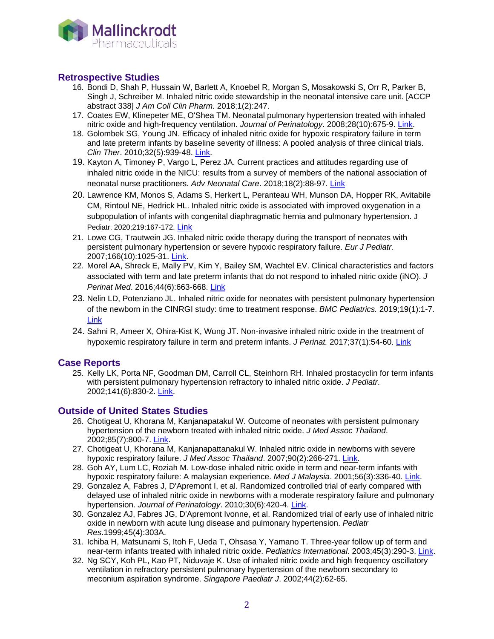

### **Retrospective Studies**

- 16. Bondi D, Shah P, Hussain W, Barlett A, Knoebel R, Morgan S, Mosakowski S, Orr R, Parker B, Singh J, Schreiber M. Inhaled nitric oxide stewardship in the neonatal intensive care unit. [ACCP abstract 338] *J Am Coll Clin Pharm.* 2018;1(2):247.
- 17. Coates EW, Klinepeter ME, O'Shea TM. Neonatal pulmonary hypertension treated with inhaled nitric oxide and high-frequency ventilation. *Journal of Perinatology*. 2008;28(10):675-9. [Link.](http://www.ncbi.nlm.nih.gov/pubmed/18580880)
- 18. Golombek SG, Young JN. Efficacy of inhaled nitric oxide for hypoxic respiratory failure in term and late preterm infants by baseline severity of illness: A pooled analysis of three clinical trials. *Clin Ther*. 2010;32(5):939-48. [Link.](http://www.ncbi.nlm.nih.gov/pubmed/20685502)
- 19. Kayton A, Timoney P, Vargo L, Perez JA. Current practices and attitudes regarding use of inhaled nitric oxide in the NICU: results from a survey of members of the national association of neonatal nurse practitioners. *Adv Neonatal Care*. 2018;18(2):88-97. [Link](https://www.ncbi.nlm.nih.gov/pubmed/29465446)
- 20. Lawrence KM, Monos S, Adams S, Herkert L, Peranteau WH, Munson DA, Hopper RK, Avitabile CM, Rintoul NE, Hedrick HL. Inhaled nitric oxide is associated with improved oxygenation in a subpopulation of infants with congenital diaphragmatic hernia and pulmonary hypertension. J Pediatr. 2020;219:167-172. [Link](https://www.ncbi.nlm.nih.gov/pubmed/31706636)
- 21. Lowe CG, Trautwein JG. Inhaled nitric oxide therapy during the transport of neonates with persistent pulmonary hypertension or severe hypoxic respiratory failure. *Eur J Pediatr*. 2007;166(10):1025-31. [Link.](http://www.ncbi.nlm.nih.gov/pubmed/17205243)
- 22. Morel AA, Shreck E, Mally PV, Kim Y, Bailey SM, Wachtel EV. Clinical characteristics and factors associated with term and late preterm infants that do not respond to inhaled nitric oxide (iNO). *J Perinat Med*. 2016;44(6):663-668. [Link](https://www.ncbi.nlm.nih.gov/pubmed/26352080)
- 23. Nelin LD, Potenziano JL. Inhaled nitric oxide for neonates with persistent pulmonary hypertension of the newborn in the CINRGI study: time to treatment response. *BMC Pediatrics.* 2019;19(1):1-7. [Link](https://www.ncbi.nlm.nih.gov/pubmed/30636626)
- 24. Sahni R, Ameer X, Ohira-Kist K, Wung JT. Non-invasive inhaled nitric oxide in the treatment of hypoxemic respiratory failure in term and preterm infants. *J Perinat.* 2017;37(1):54-60. [Link](https://www.ncbi.nlm.nih.gov/pubmed/27711045)

#### **Case Reports**

25. Kelly LK, Porta NF, Goodman DM, Carroll CL, Steinhorn RH. Inhaled prostacyclin for term infants with persistent pulmonary hypertension refractory to inhaled nitric oxide. *J Pediatr*. 2002;141(6):830-2. [Link.](http://www.ncbi.nlm.nih.gov/pubmed/12461501)

#### **Outside of United States Studies**

- 26. Chotigeat U, Khorana M, Kanjanapatakul W. Outcome of neonates with persistent pulmonary hypertension of the newborn treated with inhaled nitric oxide. *J Med Assoc Thailand*. 2002;85(7):800-7. [Link.](http://www.ncbi.nlm.nih.gov/pubmed/12296412)
- 27. Chotigeat U, Khorana M, Kanjanapattanakul W. Inhaled nitric oxide in newborns with severe hypoxic respiratory failure. *J Med Assoc Thailand*. 2007;90(2):266-271. [Link.](http://www.ncbi.nlm.nih.gov/pubmed/17375630)
- 28. Goh AY, Lum LC, Roziah M. Low-dose inhaled nitric oxide in term and near-term infants with hypoxic respiratory failure: A malaysian experience. *Med J Malaysia*. 2001;56(3):336-40. [Link.](http://www.ncbi.nlm.nih.gov/pubmed/11732080)
- 29. Gonzalez A, Fabres J, D'Apremont I, et al. Randomized controlled trial of early compared with delayed use of inhaled nitric oxide in newborns with a moderate respiratory failure and pulmonary hypertension. *Journal of Perinatology*. 2010;30(6):420-4. [Link.](http://www.ncbi.nlm.nih.gov/pubmed/19890345)
- 30. Gonzalez AJ, Fabres JG, D'Apremont Ivonne, et al. Randomized trial of early use of inhaled nitric oxide in newborn with acute lung disease and pulmonary hypertension. *Pediatr Res*.1999;45(4):303A.
- 31. Ichiba H, Matsunami S, Itoh F, Ueda T, Ohsasa Y, Yamano T. Three-year follow up of term and near-term infants treated with inhaled nitric oxide. *Pediatrics International*. 2003;45(3):290-3. [Link.](http://www.ncbi.nlm.nih.gov/pubmed/12828583)
- 32. Ng SCY, Koh PL, Kao PT, Niduvaje K. Use of inhaled nitric oxide and high frequency oscillatory ventilation in refractory persistent pulmonary hypertension of the newborn secondary to meconium aspiration syndrome. *Singapore Paediatr J*. 2002;44(2):62-65.